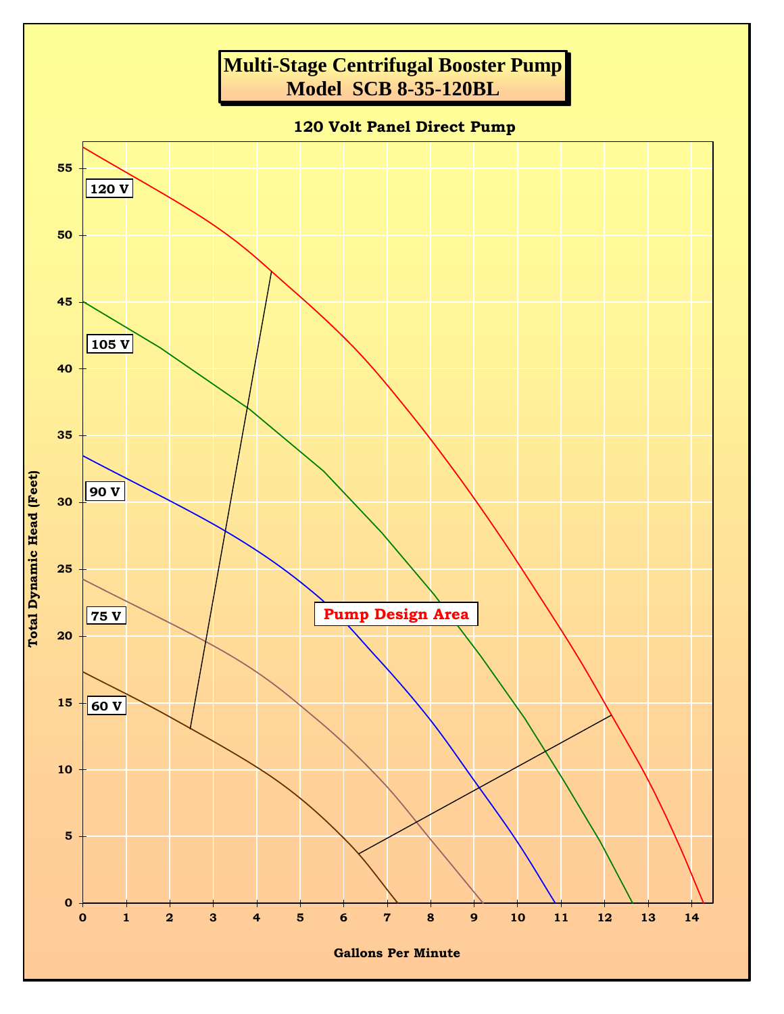